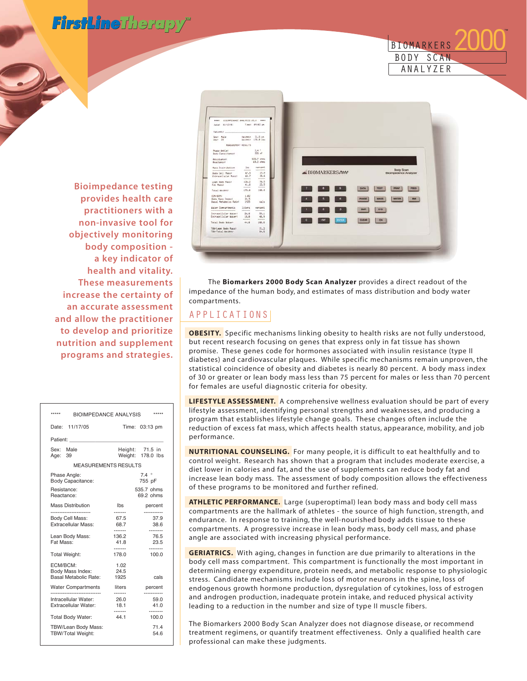FirstLineTherapy<sup>®</sup>



**Bioimpedance testing provides health care practitioners with a non-invasive tool for objectively monitoring body composition a key indicator of health and vitality. These measurements increase the certainty of an accurate assessment and allow the practitioner to develop and prioritize nutrition and supplement programs and strategies.**

| *****<br><b>BIOIMPEDANCE ANALYSIS</b>                                                                           |                          | *****                        |
|-----------------------------------------------------------------------------------------------------------------|--------------------------|------------------------------|
| Date:<br>11/17/05                                                                                               |                          | Time: 03:13 pm               |
| Patient: and the patients of the set of the set of the set of the set of the set of the set of the set of the s |                          |                              |
| Sex: Male<br>Age: 39                                                                                            | Weight:                  | Height: 71.5 in<br>178.0 lbs |
| <b>MEASUREMENTS RESULTS</b>                                                                                     |                          |                              |
| Phase Angle:<br>Body Capacitance:                                                                               |                          | $7.4$ $^{\circ}$<br>755 pF   |
| Resistance:<br>Reactance:                                                                                       |                          | 535.7 ohms<br>69.2 ohms      |
| <b>Mass Distribution</b>                                                                                        | Ibs                      | percent                      |
| Body Cell Mass:<br><b>Extracellular Mass:</b>                                                                   | 67.5<br>68.7             | 37.9<br>38.6                 |
| Lean Body Mass:<br>Fat Mass:                                                                                    | -------<br>136.2<br>41.8 | <br>76.5<br>23.5             |
| <b>Total Weight:</b>                                                                                            | -------<br>178.0         | <br>100.0                    |
| ECM/BCM:<br>Body Mass Index:<br>Basal Metabolic Rate:                                                           | 1.02<br>24.5<br>1925     | cals                         |
| <b>Water Compartments</b>                                                                                       | liters                   | percent                      |
| <br>Intracellular Water:<br><b>Extracellular Water:</b>                                                         | ------<br>26.0<br>18.1   | 59.0<br>41.0                 |
| Total Body Water:                                                                                               | ------<br>44.1           | --------<br>100.0            |
| TBW/Lean Body Mass:<br><b>TBW/Total Weight:</b>                                                                 |                          | 71.4<br>54.6                 |
|                                                                                                                 |                          |                              |



The **Biomarkers 2000 Body Scan Analyzer** provides a direct readout of the impedance of the human body, and estimates of mass distribution and body water compartments.

# APPLICATIONS

**OBESITY.** Specific mechanisms linking obesity to health risks are not fully understood, but recent research focusing on genes that express only in fat tissue has shown promise. These genes code for hormones associated with insulin resistance (type II diabetes) and cardiovascular plaques. While specific mechanisms remain unproven, the statistical coincidence of obesity and diabetes is nearly 80 percent. A body mass index of 30 or greater or lean body mass less than 75 percent for males or less than 70 percent for females are useful diagnostic criteria for obesity.

**LIFESTYLE ASSESSMENT.** A comprehensive wellness evaluation should be part of every lifestyle assessment, identifying personal strengths and weaknesses, and producing a program that establishes lifestyle change goals. These changes often include the reduction of excess fat mass, which affects health status, appearance, mobility, and job performance.

**NUTRITIONAL COUNSELING.** For many people, it is difficult to eat healthfully and to control weight. Research has shown that a program that includes moderate exercise, a diet lower in calories and fat, and the use of supplements can reduce body fat and increase lean body mass. The assessment of body composition allows the effectiveness of these programs to be monitored and further refined.

**ATHLETIC PERFORMANCE.** Large (superoptimal) lean body mass and body cell mass compartments are the hallmark of athletes - the source of high function, strength, and endurance. In response to training, the well-nourished body adds tissue to these compartments. A progressive increase in lean body mass, body cell mass, and phase angle are associated with increasing physical performance.

**GERIATRICS.** With aging, changes in function are due primarily to alterations in the body cell mass compartment. This compartment is functionally the most important in determining energy expenditure, protein needs, and metabolic response to physiologic stress. Candidate mechanisms include loss of motor neurons in the spine, loss of endogenous growth hormone production, dysregulation of cytokines, loss of estrogen and androgen production, inadequate protein intake, and reduced physical activity leading to a reduction in the number and size of type II muscle fibers.

The Biomarkers 2000 Body Scan Analyzer does not diagnose disease, or recommend treatment regimens, or quantify treatment effectiveness. Only a qualified health care professional can make these judgments.